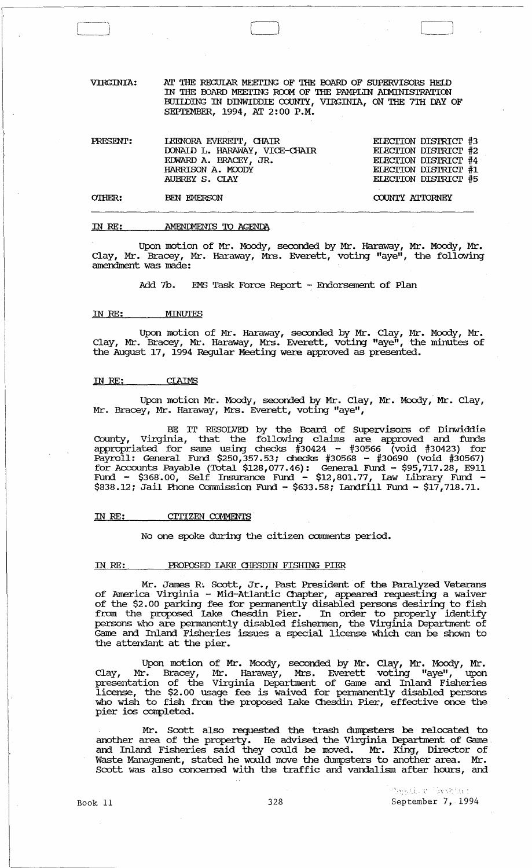VIRGINIA: AT THE REGULAR MEETING OF THE BOARD OF SUPERVISORS HEID IN THE BOARD MEETING ROOM OF THE PAMPLIN ADMINISTRATION BUILDING IN DINWIDDIE COUNTY, VIRGINIA, ON THE 7TH DAY OF SEPTEMBER, 1994, AT 2:00 P.M.

 $\Box$ 

| PRESENT: | LEENORA EVERETT, CHAIR<br>DONAID L. HARAWAY, VICE-CHAIR<br>EDWARD A. BRACEY, JR.<br>HARRISON A. MOODY<br>AUBREY S. CLAY | ELECTION DISTRICT #3<br>ELECTION DISTRICT #2<br>ELECTION DISTRICT #4<br>ELECTION DISTRICT #1<br>ELECTION DISTRICT #5 |
|----------|-------------------------------------------------------------------------------------------------------------------------|----------------------------------------------------------------------------------------------------------------------|
| OTHER:   | BEN EMERSON                                                                                                             | COUNTY ATTORNEY                                                                                                      |

#### IN *RE:*  AMENDMENTS TO AGENDA

Upon motion of Mr. Moody, seconded by Mr. Haraway, Mr. Moody, Mr. Clay, Mr. Bracey, Mr. Haraway, Mrs. Everett, voting "aye", the following amendment was made:

Add 7b. EMS Task Force Report - Endorsement of Plan

#### IN *RE:* MINUTES

~-,  $\vert$ 

> Upon motion of Mr. Haraway, seconded by Mr. Clay, Mr. Moody, Mr. Clay, Mr. Bracey, Mr. Haraway, Mrs. Everett, voting "aye", the minutes of the August 17, 1994 Regular Meeting were approved as presented.

# IN *RE:* CIAIMS

Upon motion Mr. Moody, seconded by Mr. Clay, Mr. Moody, Mr. Clay, Mr. Bracey, Mr. Haraway, Mrs. Everett, voting "aye",

BE IT RESOLVED by the Board of SUpervisors of Dinwiddie County, Virginia, that the following claims are approved and funds appropriated for same using checks #30424 - #30566 (void #30423) for Payroll: General Fund \$250,357.53; checks #30568 - #30690 (void #30567) for Accounts Payable (Total \$128,077.46): General Fund - \$95,717.28, E911 Fund -  $\$368.00$ , Self Insurance Fund -  $\$12,801.77$ , Law Library Fund -\$838.12; Jail Phone Commission Fund - \$633.58; Landfill Fund - \$17,718.71.

#### IN RE: CITIZEN COMMENTS

No one spoke during the citizen comments period.

#### IN RE: PROPOSED LAKE CHESDIN FISHING PIER

Mr. James R'. Scott, Jr., Past President of the Paralyzed Veterans of Arrerica Virginia - Mid-Atlantic Chapter, appeared requesting a waiver of the \$2.00 parking fee for permanently disabled persons desiring to fish from the proposed lake Chesdin Pier. In order to properly identify persons who are permanently disabled fishermen, the Virginia Department of Game and Inland Fisheries issues a special license which can be shown to the attendant at the pier.

Upon motion of Mr. Moody, seconded by Mr. Clay, Mr. Moody, Mr. Clay, Mr. Bracey, Mr. Haraway, Mrs. Everett voting "aye", upon presentation of the Virginia Department of Game and Inland Fisheries license, the \$2.00 usage fee is waived for pennanently disabled persons who wish to fish from the proposed Lake Chesdin Pier, effective once the pier ios canpleted.

Mr. Scott also requested the trash dumpsters be relocated to another area of the property. He advised the Virginia Department of Game and Inland Fisheries said they could be moved. Mr. King, Director of Waste Management, stated he would move the dumpsters to another area. Mr. scott was also concerned with the traffic and vandalism after hours, and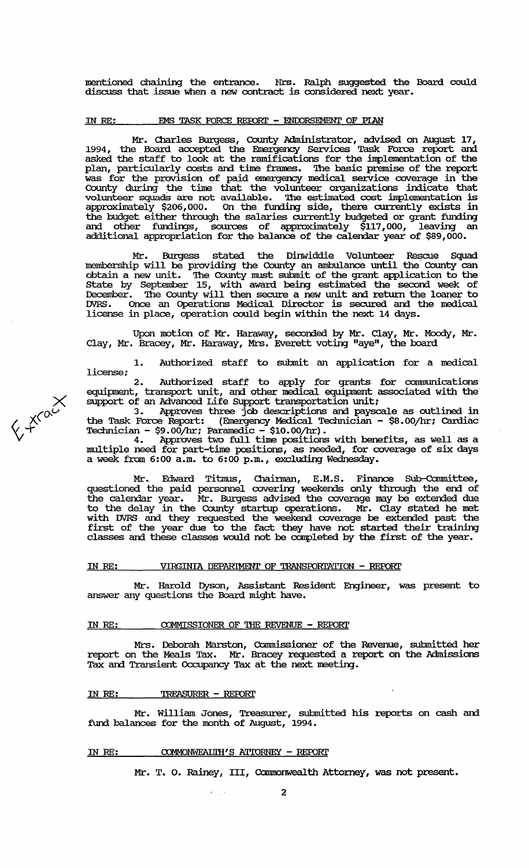mentioned chaining the entrance. Hrs. Ralph suggested the Board could discuss that issue when a new contract is considered next year.

## IN RE: **EMS TASK FORCE REPORT - ENDORSEMENT OF PIAN**

Mr. Charles Burgess, County Administrator, advised on August 17, 1994, the Board accepted the Emergency Services Task Force report and asked the staff to look at the ramifications for the implementation of the plan, particularly costs and time frames. The basic premise of the report was for the provision of paid emergency medical service coverage in the County during the time that the volunteer organizations indicate that volunteer squads are not available. The estimated cost implementation is approximately \$206,000. On the funding side, there currently exists in the budget either through the salaries currently budgeted or grant funding and other fundings, sources of approximately \$117,000, leaving an additional appropriation for the balance of the calendar year of \$89,000.

Mr. Burgess stated the Dinwiddie Volunteer Rescue Squad membership will be providing the County an ambulance until the County can obtain a new unit. '!he County must submit of the grant application to the state by September 15, with award being estimated the second week of December. The County will then secure a new unit and return the loaner to DVRS. Once an Operations Medical Director is secured and the medical license in place, operation could begin within the next 14 days.

Upon motion of Mr. Haraway, seconded by Mr. Clay, Mr. Moody, Mr. Clay, Mr. Bracey, Mr. Haraway, Mrs. Everett votirg "aye", the board

1. Authorized staff to submit an application for a medical license;

2. Authorized staff to apply for grants for communications equipment, transport unit, and other medical equipment associated with the support of an Advanced Life Support transportation unit;

3. Approves three job descriptions am payscale as outlined in the Task Force Report: (Emergency Medical Technician - \$8.00/hr; Cardiac Technician - \$9.00/hr; Paramedic - \$10.00/hr).

4. Approves two full time positions with benefits, as well as a multiple need for part-time positions, as needed, for coverage of six days a week from 6:00 a.m. to 6:00 p.m., excluding Wednesday.

Mr. Edward Titmus, Chairman, E.M.S. Finance Sub-Committee, questioned the paid personnel covering weekends only through the end of the calendar year. Mr. Burgess advised the coverage may be extended due to the delay in the County startup operations. Mr. Clay stated he met with DVRS and they requested the weekend coverage be extended past the first of the year due to the fact they have not started their training classes and these classes would not be completed by the first of the year.

# IN *RE:* VIRGINIA DEPARIMENT OF TRANSroRl'ATION - REroRI'

Mr. Harold Dyson, Assistant Resident Engineer, was present to answer any questions the Board might have.

#### IN RE: **COMMISSIONER OF THE REVENUE - REPORT**

Mrs. Deborah Marston, Commissioner of the Revenue, submitted her report on the Meals Tax. Mr. Bracey requested a report on the Admissions Tax and Transient Occupancy Tax at the next meeting.

#### IN *RE:* 'l'RFASURER - REroRI'

 $\overline{\chi}$ 

 $x^{\alpha}$ 

 $\vee$   $\vee$ 

Mr. William Jones, Treasurer, submitted his reports on cash am fund balances for the month of August, 1994.

#### IN RE: **COMMONWEALIH'S ATTORNEY - REPORT**

Mr. T. O. Rainey, III, Commonwealth Attorney, was not present.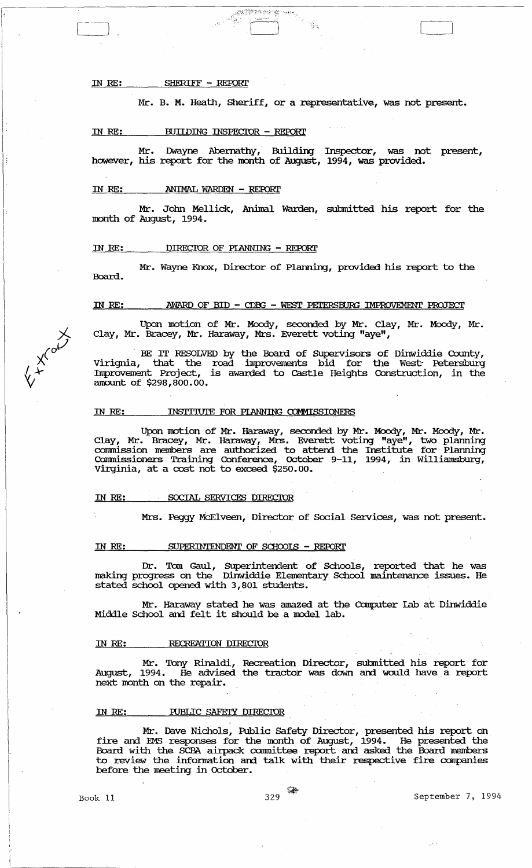IN RE: SHERIFF - REFORl'

Mr. B. M. Heath, Sheriff, or a representative, was not present.

#### IN RE: BUILDING INSPECTOR - REPORT

Mr. Dwayne Abernathy, Building Inspector, was not present, however, his report for the month of August, 1994, was provided.

#### IN RE: ANIMAL WARDEN - REroRl'

Mr. Jolm Mellick, Animal Warden, submitted his report for the month of August, 1994.

# IN RE: DIRECIDR OF PIANNING - REFORl'

Mr. Wayne Knox, Director of Plarming, provided his report to the Board.

#### IN RE: AWARD OF BID - CDBG - WEST PETERSBURG IMPROVEMENT PROJECT

Upon motion of Mr. Moody, seconded by Mr. Clay, Mr. Moody, Mr. Clay, Mr. Bracey, Mr. Haraway, Mrs. Everett voting "aye",

BE IT RESOLVED by the Board of Supervisors of Dinwiddie County, Virignia, that the road improvements bid for the West; Petersburg Improvement Project, is awarded to Castle Heights Construction, in the amount of \$298,800.00.

#### IN RE: INSTITUTE FOR PLANNING COMMISSIONERS

Upon motion of Mr. Haraway, seconded by Mr. Moody, Mr. Moody, Mr. Clay, Mr. Bracey, Mr. Haraway, Mrs. Everett voting "aye", two planning commission members are authorized to attend the Institute for Planning COmmissioners Training Conference, October 9-11, 1994, in williamsbmg, Virginia, at a cost not to exceed \$250.00.

#### IN RE: SOCIAL SERVICES DIRECTOR

Mrs. Peggy McElveen, Director of Social services, was not present.

#### IN RE: SUPERINTENDENT OF SCHOOLS - REPORT

Dr. Tom Gaul, Superintendent of Schools, reported that he was making progress on the Dinwiddie Elementary School maintenance issues. He stated school opened with 3,801 students.

Mr. Haraway stated he was amazed at the Computer Iab at Dinwiddie Middle School and felt it should be a model lab.

#### IN RE: RECREATION DIRECTOR

Mr. Tony Rinaldi, Recreation Director, sutmitted his report for August, 1994. He advised the tractor was down ani would have a report next month on the repair.

#### IN RE: PUBLIC SAFEIY DIRECTOR

Mr. Dave Nichols, Public Safety Director, presented his report on fire and EMS responses for the month of August, 1994. He presented the Board with the SCBA airpack canunittee report am asked the Board members to review the infonnation ani talk. with their respective fire companies before the meeting in October.

**XIVER** 

Book 11 329 <sup>58</sup> September 7, 1994

 $\bigcup$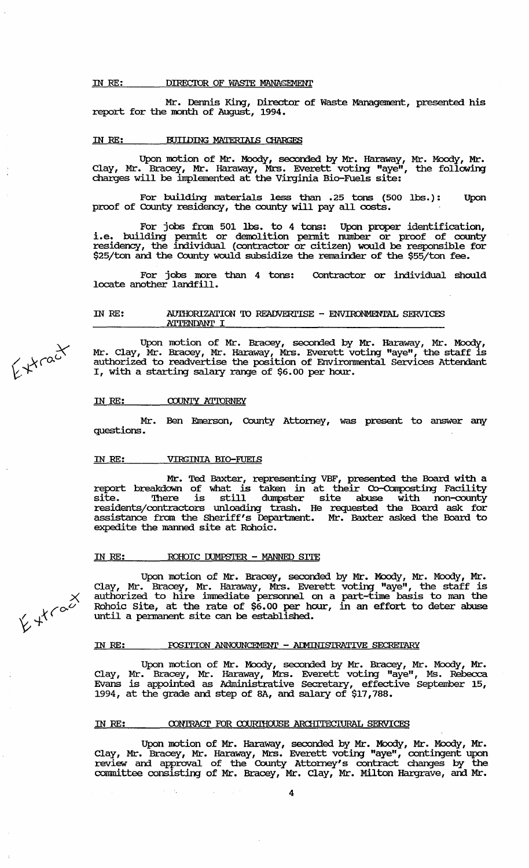#### IN RE: **DIRECTOR OF WASTE MANAGEMENT**

Mr. Dennis King, Director of Waste Management, presented his report for the month of August, 1994.

## IN RE: **MIIDING MATERIALS CHARGES**

Upon motion of Mr. Moody, seconded by Mr. Haraway, Mr. Moody, Mr. Clay, Mr. Bracey, Mr. Haraway, Mrs. Everett voting "aye", the following charges will be implemented at the Virginia Bio-Fuels site:

For building materials less than .25 tons (500 lbs.): Upon proof of County residency, the county will pay all costs.

For jobs from 501 lbs. to 4 tons: Upon proper identification, i.e. building permit or demolition permit number or proof of county residency, the individual (contractor or citizen) would be responsible for \$25/ton and the County would subsidize the remainder of the \$55/ton fee.

For jobs more than 4 tons: locate another landfill. Contractor or individual should

## IN RE: AUIHORIZATION TO READVERTISE - ENVIRONMENTAL SERVICES A'ITENDANT I

Upon motion of Mr. Bracey, seconded by Mr. Haraway, Mr. Moody, Mr. Clay, Mr. Bracey, Mr. Haraway, Mrs. Everett voting "aye", the staff is authorized to readvertise the position of Environmental Services Attendant I, with a starting salary rarge of \$6.00 per hour.

#### IN RE: COUNTY ATTORNEY

Mr. Ben Einerson, County Attorney, was present to answer any questions.

#### IN RE: VIRGINIA BIO-FUELS

Mr. Ted Baxter, representing VBF, presented the Board with a report breakdown of what is taken in at their Co-Composting Facility site. '!here is still dumpster site abuse with non-county residents/contractors unloadirg trash. He requested the Board ask for assistance from the Sheriff's Deparbnent. Mr. Baxter asked the Board to expedite the manned site at Rohoic.

## IN RE: ROHOIC DUMPSTER - MANNED SITE

Upon motion of Mr. Bracey, seconded by Mr. Moody, Mr. Moody, Mr. Clay, Mr. Bracey, Mr. Haraway, Mrs. Everett voting "aye", the staff is authorized to hire immediate personnel on a part-tine basis to man the Rohoic Site, at the rate of \$6.00 per hour, in an effort to deter abuse until a pennanent site can be established.

#### IN RE: POSITION ANNOUNCEMENI' - ADMINISTRATIVE SECRETARY

Upon motion of Mr. Moody, seconded by Mr. Bracey, Mr. Moody, Mr. Clay, Mr. Bracey, Mr. Haraway, Mrs. Everett voting "aye", Ms. Rebecca Evans is appointed as Administrative Secretary, effective September 15, 1994, at the grade and step of 8A, am salary of \$17,788.

#### IN RE: CONTRACT FOR COURTHOUSE ARCHITECTURAL SERVICES

Upon motion of Mr. Haraway, seconded by Mr. Moody, Mr. Moody, Mr. Clay, Mr. Bracey, Mr. Haraway, Mrs. Everett voting "aye", contingent upon review and approval of the County Attorney's contract changes by the committee consisting of Mr. Bracey, Mr. Clay, Mr. Milton Hargrave, and Mr.

 $f*{r^{\alpha}}c^{\chi}$ 

*X*   $64^{k{60}^{\circ}}$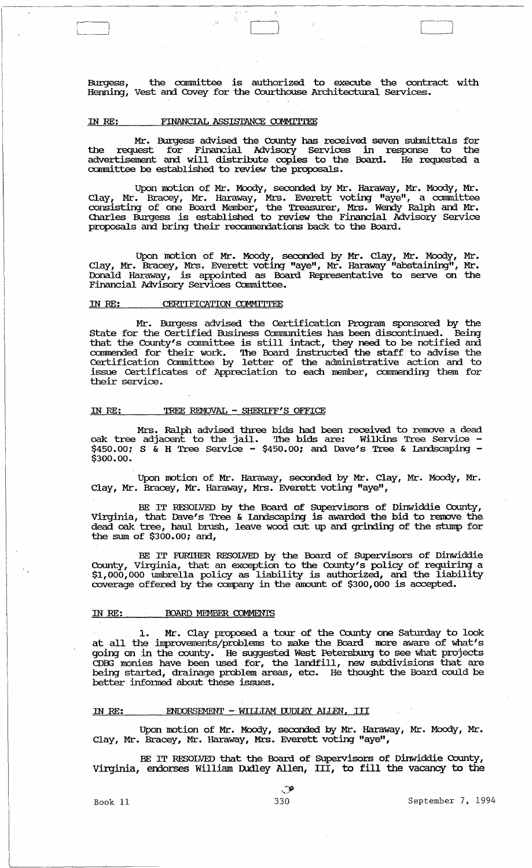Burgess, the carmnittee is authorized to execute the contract with Herming, Vest am Covey for the Courthouse Architectural Services.

Contract to the contract of the contract of the contract of the contract of the contract of the contract of the contract of the contract of the contract of the contract of the contract of the contract of the contract of th

#### FINANCIAL ASSISTANCE COMMITTEE IN RE:

Mr. Burgess advised the county has received seven submittals for the request for Financial Advisory Services in response to the advertisement am will distribute copies to the Board. He requested a committee be established to review the proposals.

Upon motion of Mr. Moody, seconded by Mr. Haraway, Mr. Moody, Mr. Clay, Mr. Bracey, Mr. Haraway, Mrs. Everett voting "aye", a committee consisting of one Board Member, the Treasurer, Mrs. Werrly Ralph and Mr. Charles Burgess is established to review the Financial Advisory Service proposals and bring their recommendations back to the Board.

Upon motion of Mr. Moody, seconded by Mr. Clay, Mr. Moody, Mr. Clay, Mr. Bracey, Mrs. Everett voting "aye", Mr. Haraway "abstaining", Mr. Donald Haraway, is appointed as Board Representative to serve on the Financial Advisory Services Committee.<br>
IN RE: CERTIFICATION COMMITTEE Financial Advisory Services Committee.

Mr. Burgess advised the Certification Program sponsored by the state for the Certified Business Connnunities has been discontinued. Being that the County's committee is still intact, they need to be notified and commended for their work. The Board instructed the staff to advise the Certification Conunittee by letter of the administrative action and to issue Certificates of Appreciation to each member, cannnending them for their service.

#### IN RE: TREE REMOVAL - SHERIFF'S OFFICE

Mrs. Ralph advised three bids had been received to remove a dead oak tree adjacent to the jail. The bids are: Wilkins Tree Service - $$450.00$ ; S & H Tree Service -  $$450.00$ ; and Dave's Tree & Landscaping -  $$300.00$ .

Upon motion of Mr. Haraway, seconded by Mr. Clay, Mr. Moody, Mr. Clay, Mr. Bracey, Mr. Haraway, Mrs. Everett voting "aye",

BE IT RESOLVED by the Board of SUpervisors of Dinwiddie County, Virginia, that Dave's Tree & Iandscaping is awarded the bid to remove the dead oak tree, haul brush, leave wood cut up and grinding of the stump for the sum of  $$300.00$ ; and,

BE IT FURIHER RESOLVED by the Board of Supervisors of Dinwiddie County, Virginia, that an exception to the County's policy of requiring a  $$1,000,000$  umbrella policy as liability is authorized, and the liability coverage offered by the company in the amount of \$300,000 is accepted.

#### IN RE: BOARD MEMBER COMMENTS

1. Mr. Clay proposed a tour of the County one Saturday to look at all the improvements/problems to make the Board more aware of what's going on in the county. He suggested West Petersburg to see what projects cobe; and in the coality of the largest contributions of the largest monitor are contributed in the largest monitor that are being started, drainage problem areas, etc. He thought the Board could be better infonned about these issues.

#### IN RE: ENDORSEMENT - WILLIAM DUDLEY ALIEN, III

Upon motion of Mr. Moody, seconded by Mr. Haraway, Mr. Moody, Mr. Clay, Mr. Bracey, Mr. Haraway, Mrs. Everett voting "aye",

BE IT RESOLVED that the Board of SUpervisors of Dinwiddie County, Virginia, endorses William Dudley Allen, III, to fill the vacancy to the

Book 11 330 September 7, 1994